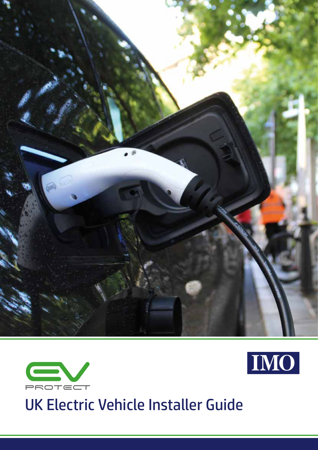





UK Electric Vehicle Installer Guide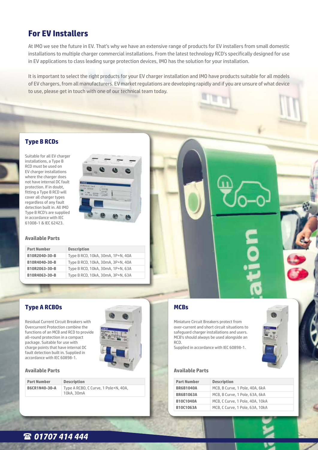## **For EV Installers**

At IMO we see the future in EV. That's why we have an extensive range of products for EV installers from small domestic installations to multiple charger commercial installations. From the latest technology RCD's specifically designed for use in EV applications to class leading surge protection devices, IMO has the solution for your installation.

It is important to select the right products for your EV charger installation and IMO have products suitable for all models of EV chargers, from all manufacturers. EV market regulations are developing rapidly and if you are unsure of what device to use, please get in touch with one of our technical team today.

## **Type B RCDs**

Suitable for all EV charger installations, a Type B RCD must be used on EV charger installations where the charger does not have internal DC fault protection. If in doubt, fitting a Type B RCD will cover all charger types regardless of any fault detection built in. All IMO Type B RCD's are supplied in accordance with IEC 61008-1 & IEC 62423.



#### **Available Parts**

| <b>Part Number</b> | <b>Description</b>                |
|--------------------|-----------------------------------|
| B10R2040-30-B      | Type B RCD, 10kA, 30mA, 1P+N, 40A |
| B10R4040-30-B      | Type B RCD, 10kA, 30mA, 3P+N, 40A |
| B10R2063-30-B      | Type B RCD, 10kA, 30mA, 1P+N, 63A |
| B10R4063-30-B      | Type B RCD, 10kA, 30mA, 3P+N, 63A |

## **Type A RCBOs**

Residual Current Circuit Breakers with Overcurrent Protection combine the functions of an MCB and RCD to provide all-round protection in a compact package. Suitable for use with charge points that have internal DC fault detection built in. Supplied in accordance with IEC 60898-1.



#### **Available Parts**

**Part Number Description**

**B6CR1N40-30-A** Type A RCBO, C Curve, 1 Pole+N, 40A, 10kA, 30mA



## **MCBs**

Miniature Circuit Breakers protect from over-current and short circuit situations to safeguard charger installations and users. MCB's should always be used alongside an RCD.

Supplied in accordance with IEC 60898-1.

#### **Available Parts**

| <b>Part Number</b> | <b>Description</b>              |
|--------------------|---------------------------------|
| <b>BR6B1040A</b>   | MCB, B Curve, 1 Pole, 40A, 6kA  |
| <b>BR6B1063A</b>   | MCB, B Curve, 1 Pole, 63A, 6kA  |
| <b>B10C1040A</b>   | MCB, C Curve, 1 Pole, 40A, 10kA |
| <b>B10C1063A</b>   | MCB, C Curve, 1 Pole, 63A, 10kA |

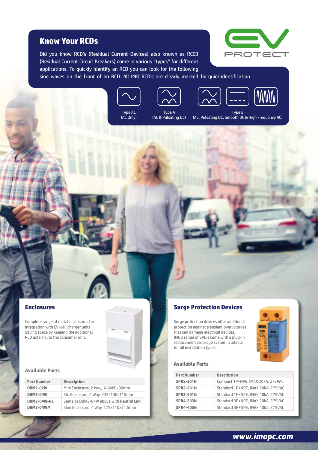## **Know Your RCDs**

Did you know RCD's (Residual Current Devices) also known as RCCB (Residual Current Circuit Breakers) come in various "types" for different applications. To quickly identify an RCD you can look for the following



sine waves on the front of an RCD. All IMO RCD's are clearly marked for quick identification...









(AC Only)



Type B (AC, Pulsating DC, Smooth DC & High Frequency AC)

### **Enclosures**

Complete range of metal enclosures for integration with EV wall charger units. Saving space by keeping the additional RCD external to the consumer unit.

## **Available Parts**

| <b>Part Number</b> | <b>Description</b>                       |
|--------------------|------------------------------------------|
| <b>DBM2-02W</b>    | Mini Enclosure, 2 Way, 146x80x90mm       |
| <b>DBM2-04W</b>    | Std Enclosure, 4 Way, 235x140x115mm      |
| DBM2-04W-NL        | Same as DBM2-04W above with Neutral Link |
| DBM2-04WM          | Slim Enclosure, 4 Way, 175x110x71.5mm    |

# **Surge Protection Devices**

Surge protection devices offer additional protection against transient overvoltages that can damage electrical devices. IMO's range of SPD's come with a plug-in replacement cartridge system. Suitable for all installation types.

#### **Available Parts**



*www.imopc.com*